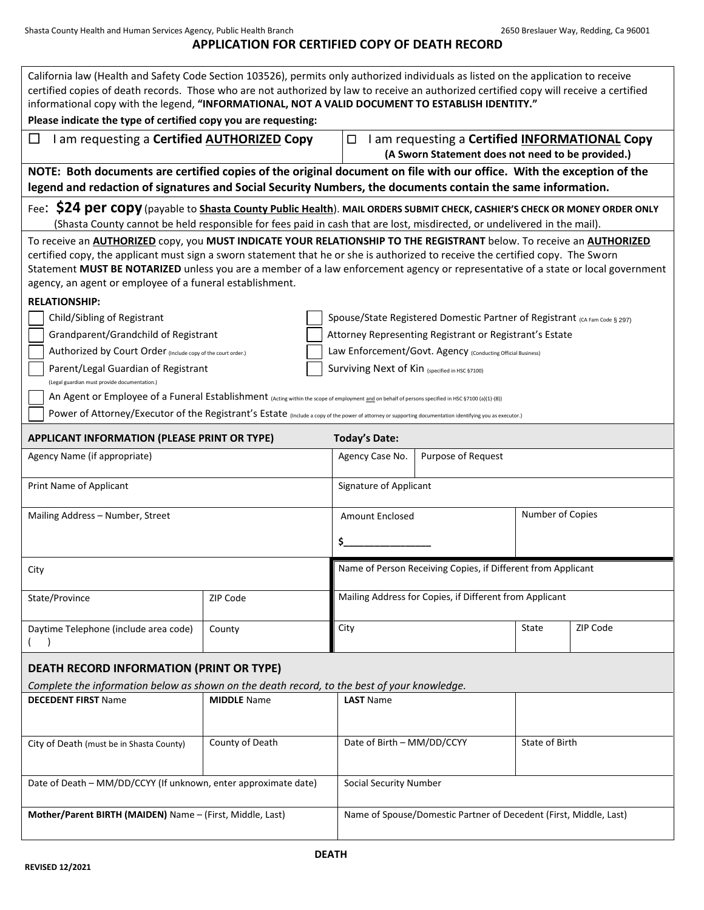# **APPLICATION FOR CERTIFIED COPY OF DEATH RECORD**

| California law (Health and Safety Code Section 103526), permits only authorized individuals as listed on the application to receive<br>certified copies of death records. Those who are not authorized by law to receive an authorized certified copy will receive a certified<br>informational copy with the legend, "INFORMATIONAL, NOT A VALID DOCUMENT TO ESTABLISH IDENTITY."<br>Please indicate the type of certified copy you are requesting:    |                    |                                                         |                                                                                                     |                                                                            |          |  |  |  |  |  |
|---------------------------------------------------------------------------------------------------------------------------------------------------------------------------------------------------------------------------------------------------------------------------------------------------------------------------------------------------------------------------------------------------------------------------------------------------------|--------------------|---------------------------------------------------------|-----------------------------------------------------------------------------------------------------|----------------------------------------------------------------------------|----------|--|--|--|--|--|
| I am requesting a Certified <b>AUTHORIZED</b> Copy<br>ப                                                                                                                                                                                                                                                                                                                                                                                                 |                    | $\Box$                                                  | I am requesting a Certified INFORMATIONAL Copy<br>(A Sworn Statement does not need to be provided.) |                                                                            |          |  |  |  |  |  |
| NOTE: Both documents are certified copies of the original document on file with our office. With the exception of the<br>legend and redaction of signatures and Social Security Numbers, the documents contain the same information.                                                                                                                                                                                                                    |                    |                                                         |                                                                                                     |                                                                            |          |  |  |  |  |  |
| Fee: \$24 per copy (payable to Shasta County Public Health). MAIL ORDERS SUBMIT CHECK, CASHIER'S CHECK OR MONEY ORDER ONLY<br>(Shasta County cannot be held responsible for fees paid in cash that are lost, misdirected, or undelivered in the mail).                                                                                                                                                                                                  |                    |                                                         |                                                                                                     |                                                                            |          |  |  |  |  |  |
| To receive an AUTHORIZED copy, you MUST INDICATE YOUR RELATIONSHIP TO THE REGISTRANT below. To receive an AUTHORIZED<br>certified copy, the applicant must sign a sworn statement that he or she is authorized to receive the certified copy. The Sworn<br>Statement MUST BE NOTARIZED unless you are a member of a law enforcement agency or representative of a state or local government<br>agency, an agent or employee of a funeral establishment. |                    |                                                         |                                                                                                     |                                                                            |          |  |  |  |  |  |
| <b>RELATIONSHIP:</b>                                                                                                                                                                                                                                                                                                                                                                                                                                    |                    |                                                         |                                                                                                     |                                                                            |          |  |  |  |  |  |
| Child/Sibling of Registrant                                                                                                                                                                                                                                                                                                                                                                                                                             |                    |                                                         |                                                                                                     | Spouse/State Registered Domestic Partner of Registrant (CA Fam Code § 297) |          |  |  |  |  |  |
| Grandparent/Grandchild of Registrant                                                                                                                                                                                                                                                                                                                                                                                                                    |                    |                                                         | Attorney Representing Registrant or Registrant's Estate                                             |                                                                            |          |  |  |  |  |  |
| Authorized by Court Order (Include copy of the court order.)                                                                                                                                                                                                                                                                                                                                                                                            |                    |                                                         | Law Enforcement/Govt. Agency (Conducting Official Business)                                         |                                                                            |          |  |  |  |  |  |
| Parent/Legal Guardian of Registrant                                                                                                                                                                                                                                                                                                                                                                                                                     |                    |                                                         |                                                                                                     | Surviving Next of Kin (specified in HSC §7100)                             |          |  |  |  |  |  |
| (Legal guardian must provide documentation.)                                                                                                                                                                                                                                                                                                                                                                                                            |                    |                                                         |                                                                                                     |                                                                            |          |  |  |  |  |  |
| An Agent or Employee of a Funeral Establishment (Acting within the scope of employment and on behalf of persons specified in HSC §7100 (a)(1)-(8))                                                                                                                                                                                                                                                                                                      |                    |                                                         |                                                                                                     |                                                                            |          |  |  |  |  |  |
| Power of Attorney/Executor of the Registrant's Estate (Include a copy of the power of attorney or supporting documentation identifying you as executor.)                                                                                                                                                                                                                                                                                                |                    |                                                         |                                                                                                     |                                                                            |          |  |  |  |  |  |
| APPLICANT INFORMATION (PLEASE PRINT OR TYPE)                                                                                                                                                                                                                                                                                                                                                                                                            |                    |                                                         | <b>Today's Date:</b>                                                                                |                                                                            |          |  |  |  |  |  |
| Agency Name (if appropriate)                                                                                                                                                                                                                                                                                                                                                                                                                            |                    |                                                         | Agency Case No.<br>Purpose of Request                                                               |                                                                            |          |  |  |  |  |  |
| Print Name of Applicant                                                                                                                                                                                                                                                                                                                                                                                                                                 |                    | Signature of Applicant                                  |                                                                                                     |                                                                            |          |  |  |  |  |  |
| Mailing Address - Number, Street                                                                                                                                                                                                                                                                                                                                                                                                                        |                    | Amount Enclosed                                         |                                                                                                     | Number of Copies                                                           |          |  |  |  |  |  |
|                                                                                                                                                                                                                                                                                                                                                                                                                                                         |                    |                                                         | \$                                                                                                  |                                                                            |          |  |  |  |  |  |
| City                                                                                                                                                                                                                                                                                                                                                                                                                                                    |                    |                                                         | Name of Person Receiving Copies, if Different from Applicant                                        |                                                                            |          |  |  |  |  |  |
| State/Province                                                                                                                                                                                                                                                                                                                                                                                                                                          | ZIP Code           | Mailing Address for Copies, if Different from Applicant |                                                                                                     |                                                                            |          |  |  |  |  |  |
| Daytime Telephone (include area code)<br>$\overline{\phantom{a}}$                                                                                                                                                                                                                                                                                                                                                                                       | County             | City                                                    |                                                                                                     | State                                                                      | ZIP Code |  |  |  |  |  |
| DEATH RECORD INFORMATION (PRINT OR TYPE)                                                                                                                                                                                                                                                                                                                                                                                                                |                    |                                                         |                                                                                                     |                                                                            |          |  |  |  |  |  |
| Complete the information below as shown on the death record, to the best of your knowledge.                                                                                                                                                                                                                                                                                                                                                             |                    |                                                         |                                                                                                     |                                                                            |          |  |  |  |  |  |
| <b>DECEDENT FIRST Name</b>                                                                                                                                                                                                                                                                                                                                                                                                                              | <b>MIDDLE</b> Name | <b>LAST Name</b>                                        |                                                                                                     |                                                                            |          |  |  |  |  |  |
| City of Death (must be in Shasta County)                                                                                                                                                                                                                                                                                                                                                                                                                | County of Death    | Date of Birth - MM/DD/CCYY                              |                                                                                                     | State of Birth                                                             |          |  |  |  |  |  |
| Date of Death - MM/DD/CCYY (If unknown, enter approximate date)                                                                                                                                                                                                                                                                                                                                                                                         |                    |                                                         | Social Security Number                                                                              |                                                                            |          |  |  |  |  |  |
| Mother/Parent BIRTH (MAIDEN) Name - (First, Middle, Last)                                                                                                                                                                                                                                                                                                                                                                                               |                    |                                                         | Name of Spouse/Domestic Partner of Decedent (First, Middle, Last)                                   |                                                                            |          |  |  |  |  |  |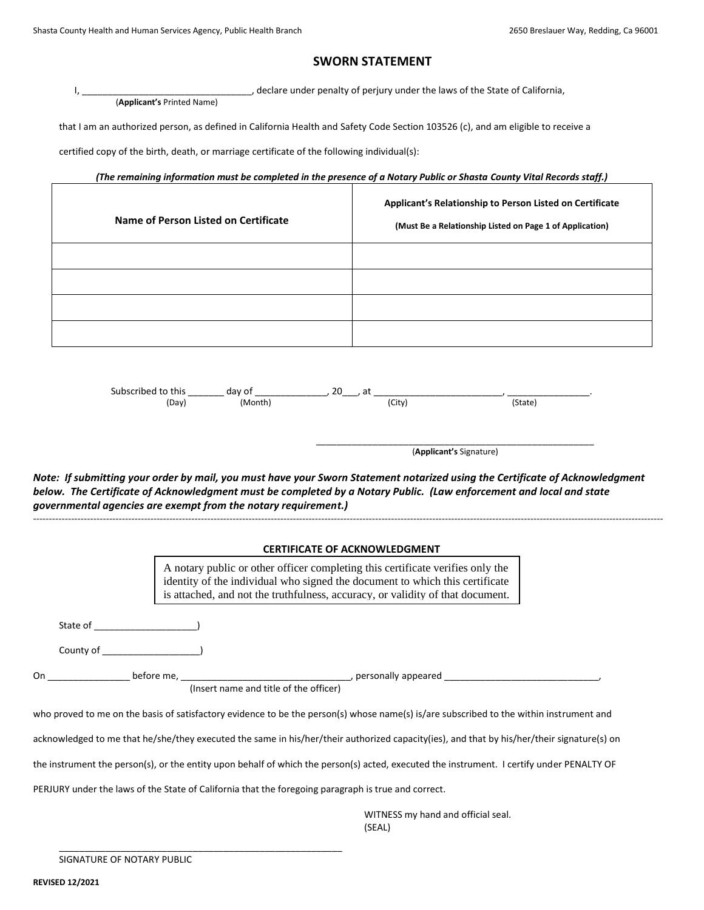## **SWORN STATEMENT**

, declare under penalty of perjury under the laws of the State of California, (**Applicant's** Printed Name)

that I am an authorized person, as defined in California Health and Safety Code Section 103526 (c), and am eligible to receive a

certified copy of the birth, death, or marriage certificate of the following individual(s):

### *(The remaining information must be completed in the presence of a Notary Public or Shasta County Vital Records staff.)*

| Name of Person Listed on Certificate | Applicant's Relationship to Person Listed on Certificate<br>(Must Be a Relationship Listed on Page 1 of Application) |  |  |
|--------------------------------------|----------------------------------------------------------------------------------------------------------------------|--|--|
|                                      |                                                                                                                      |  |  |
|                                      |                                                                                                                      |  |  |
|                                      |                                                                                                                      |  |  |
|                                      |                                                                                                                      |  |  |

| Subscribed to this | day of  | $\Omega$<br>∽+<br>⊂d⊾<br>ZU |        |  |
|--------------------|---------|-----------------------------|--------|--|
| (Day)              | (Month) | (City)                      | (State |  |
|                    |         |                             |        |  |

\_\_\_\_\_\_\_\_\_\_\_\_\_\_\_\_\_\_\_\_\_\_\_\_\_\_\_\_\_\_\_\_\_\_\_\_\_\_\_\_\_\_\_\_\_\_\_\_\_\_\_\_\_\_ (**Applicant's** Signature)

*Note: If submitting your order by mail, you must have your Sworn Statement notarized using the Certificate of Acknowledgment below. The Certificate of Acknowledgment must be completed by a Notary Public. (Law enforcement and local and state governmental agencies are exempt from the notary requirement.)*

#### **CERTIFICATE OF ACKNOWLEDGMENT**

-------------------------------------------------------------------------------------------------------------------------------------------------------------------------------------------------------

A notary public or other officer completing this certificate verifies only the identity of the individual who signed the document to which this certificate is attached, and not the truthfulness, accuracy, or validity of that document.

State of \_\_\_\_\_\_\_\_\_\_\_\_\_\_\_\_\_\_\_\_)

County of \_\_\_\_\_\_\_\_\_\_\_\_\_\_\_\_\_\_\_)

On \_\_\_\_\_\_\_\_\_\_\_\_\_\_\_\_ before me, \_\_\_\_\_\_\_\_\_\_\_\_\_\_\_\_\_\_\_\_\_\_\_\_\_\_\_\_\_\_\_\_\_, personally appeared \_\_\_\_\_\_\_\_\_\_\_\_\_\_\_\_\_\_\_\_\_\_\_\_\_\_\_\_\_\_,

(Insert name and title of the officer)

who proved to me on the basis of satisfactory evidence to be the person(s) whose name(s) is/are subscribed to the within instrument and

acknowledged to me that he/she/they executed the same in his/her/their authorized capacity(ies), and that by his/her/their signature(s) on

the instrument the person(s), or the entity upon behalf of which the person(s) acted, executed the instrument. I certify under PENALTY OF

PERJURY under the laws of the State of California that the foregoing paragraph is true and correct.

\_\_\_\_\_\_\_\_\_\_\_\_\_\_\_\_\_\_\_\_\_\_\_\_\_\_\_\_\_\_\_\_\_\_\_\_\_\_\_\_\_\_\_\_\_\_\_\_\_\_\_\_\_\_\_

WITNESS my hand and official seal. (SEAL)